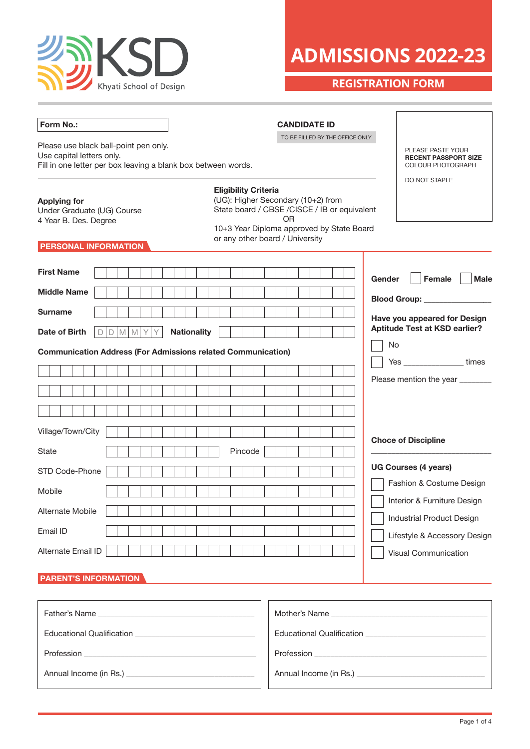

# **ADMISSIONS 2022-23**

**REGISTRATION FORM**

| Form No.:                                                                                                                           | <b>CANDIDATE ID</b>                                                                                                                                                                                             |                                                                              |  |  |
|-------------------------------------------------------------------------------------------------------------------------------------|-----------------------------------------------------------------------------------------------------------------------------------------------------------------------------------------------------------------|------------------------------------------------------------------------------|--|--|
| Please use black ball-point pen only.<br>Use capital letters only.<br>Fill in one letter per box leaving a blank box between words. | TO BE FILLED BY THE OFFICE ONLY                                                                                                                                                                                 | PLEASE PASTE YOUR<br><b>RECENT PASSPORT SIZE</b><br><b>COLOUR PHOTOGRAPH</b> |  |  |
| <b>Applying for</b><br>Under Graduate (UG) Course<br>4 Year B. Des. Degree<br><b>PERSONAL INFORMATION</b>                           | <b>Eligibility Criteria</b><br>(UG): Higher Secondary (10+2) from<br>State board / CBSE / CISCE / IB or equivalent<br><b>OR</b><br>10+3 Year Diploma approved by State Board<br>or any other board / University | DO NOT STAPLE                                                                |  |  |
| <b>First Name</b>                                                                                                                   | Gender                                                                                                                                                                                                          | Female<br><b>Male</b>                                                        |  |  |
| <b>Middle Name</b>                                                                                                                  |                                                                                                                                                                                                                 | <b>Blood Group:</b>                                                          |  |  |
| <b>Surname</b>                                                                                                                      |                                                                                                                                                                                                                 | Have you appeared for Design                                                 |  |  |
| Date of Birth<br>D<br>M<br>M<br>D                                                                                                   | <b>Nationality</b>                                                                                                                                                                                              | <b>Aptitude Test at KSD earlier?</b>                                         |  |  |
| <b>Communication Address (For Admissions related Communication)</b>                                                                 |                                                                                                                                                                                                                 | No                                                                           |  |  |
|                                                                                                                                     |                                                                                                                                                                                                                 | Yes ________________times                                                    |  |  |
|                                                                                                                                     |                                                                                                                                                                                                                 | Please mention the year ________                                             |  |  |
|                                                                                                                                     |                                                                                                                                                                                                                 |                                                                              |  |  |
| Village/Town/City                                                                                                                   |                                                                                                                                                                                                                 |                                                                              |  |  |
| State                                                                                                                               | Pincode                                                                                                                                                                                                         | <b>Choce of Discipline</b>                                                   |  |  |
|                                                                                                                                     |                                                                                                                                                                                                                 | <b>UG Courses (4 years)</b>                                                  |  |  |
| STD Code-Phone                                                                                                                      |                                                                                                                                                                                                                 | Fashion & Costume Design                                                     |  |  |
| Mobile                                                                                                                              |                                                                                                                                                                                                                 | Interior & Furniture Design                                                  |  |  |
| Alternate Mobile                                                                                                                    |                                                                                                                                                                                                                 | Industrial Product Design                                                    |  |  |
| Email ID                                                                                                                            |                                                                                                                                                                                                                 | Lifestyle & Accessory Design                                                 |  |  |
| Alternate Email ID                                                                                                                  |                                                                                                                                                                                                                 | Visual Communication                                                         |  |  |
| <b>PARENT'S INFORMATION</b>                                                                                                         |                                                                                                                                                                                                                 |                                                                              |  |  |
|                                                                                                                                     |                                                                                                                                                                                                                 |                                                                              |  |  |
|                                                                                                                                     |                                                                                                                                                                                                                 |                                                                              |  |  |
|                                                                                                                                     |                                                                                                                                                                                                                 |                                                                              |  |  |
|                                                                                                                                     |                                                                                                                                                                                                                 |                                                                              |  |  |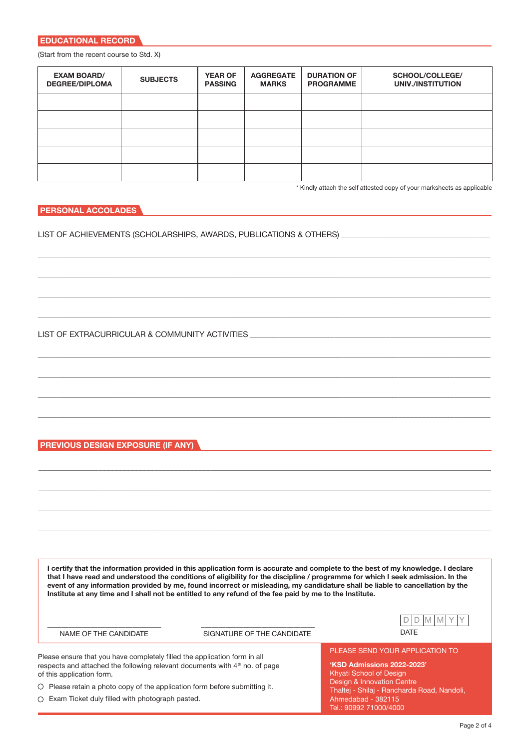(Start from the recent course to Std. X)

| <b>EXAM BOARD/</b><br><b>DEGREE/DIPLOMA</b> | <b>SUBJECTS</b> | <b>YEAR OF</b><br><b>PASSING</b> | <b>AGGREGATE</b><br><b>MARKS</b> | <b>DURATION OF</b><br><b>PROGRAMME</b> | SCHOOL/COLLEGE/<br>UNIV./INSTITUTION |
|---------------------------------------------|-----------------|----------------------------------|----------------------------------|----------------------------------------|--------------------------------------|
|                                             |                 |                                  |                                  |                                        |                                      |
|                                             |                 |                                  |                                  |                                        |                                      |
|                                             |                 |                                  |                                  |                                        |                                      |
|                                             |                 |                                  |                                  |                                        |                                      |
|                                             |                 |                                  |                                  |                                        |                                      |

\_\_\_\_\_\_\_\_\_\_\_\_\_\_\_\_\_\_\_\_\_\_\_\_\_\_\_\_\_\_\_\_\_\_\_\_\_\_\_\_\_\_\_\_\_\_\_\_\_\_\_\_\_\_\_\_\_\_\_\_\_\_\_\_\_\_\_\_\_\_\_\_\_\_\_\_\_\_\_\_\_\_\_\_\_\_\_\_\_\_\_\_\_\_\_\_\_\_\_\_\_\_\_\_\_\_\_\_\_\_\_\_\_

\_\_\_\_\_\_\_\_\_\_\_\_\_\_\_\_\_\_\_\_\_\_\_\_\_\_\_\_\_\_\_\_\_\_\_\_\_\_\_\_\_\_\_\_\_\_\_\_\_\_\_\_\_\_\_\_\_\_\_\_\_\_\_\_\_\_\_\_\_\_\_\_\_\_\_\_\_\_\_\_\_\_\_\_\_\_\_\_\_\_\_\_\_\_\_\_\_\_\_\_\_\_\_\_\_\_\_\_\_\_\_\_\_

\_\_\_\_\_\_\_\_\_\_\_\_\_\_\_\_\_\_\_\_\_\_\_\_\_\_\_\_\_\_\_\_\_\_\_\_\_\_\_\_\_\_\_\_\_\_\_\_\_\_\_\_\_\_\_\_\_\_\_\_\_\_\_\_\_\_\_\_\_\_\_\_\_\_\_\_\_\_\_\_\_\_\_\_\_\_\_\_\_\_\_\_\_\_\_\_\_\_\_\_\_\_\_\_\_\_\_\_\_\_\_\_\_

\_\_\_\_\_\_\_\_\_\_\_\_\_\_\_\_\_\_\_\_\_\_\_\_\_\_\_\_\_\_\_\_\_\_\_\_\_\_\_\_\_\_\_\_\_\_\_\_\_\_\_\_\_\_\_\_\_\_\_\_\_\_\_\_\_\_\_\_\_\_\_\_\_\_\_\_\_\_\_\_\_\_\_\_\_\_\_\_\_\_\_\_\_\_\_\_\_\_\_\_\_\_\_\_\_\_\_\_\_\_\_\_\_

\_\_\_\_\_\_\_\_\_\_\_\_\_\_\_\_\_\_\_\_\_\_\_\_\_\_\_\_\_\_\_\_\_\_\_\_\_\_\_\_\_\_\_\_\_\_\_\_\_\_\_\_\_\_\_\_\_\_\_\_\_\_\_\_\_\_\_\_\_\_\_\_\_\_\_\_\_\_\_\_\_\_\_\_\_\_\_\_\_\_\_\_\_\_\_\_\_\_\_\_\_\_\_\_\_\_\_\_\_\_\_\_\_

\_\_\_\_\_\_\_\_\_\_\_\_\_\_\_\_\_\_\_\_\_\_\_\_\_\_\_\_\_\_\_\_\_\_\_\_\_\_\_\_\_\_\_\_\_\_\_\_\_\_\_\_\_\_\_\_\_\_\_\_\_\_\_\_\_\_\_\_\_\_\_\_\_\_\_\_\_\_\_\_\_\_\_\_\_\_\_\_\_\_\_\_\_\_\_\_\_\_\_\_\_\_\_\_\_\_\_\_\_\_\_\_\_

\_\_\_\_\_\_\_\_\_\_\_\_\_\_\_\_\_\_\_\_\_\_\_\_\_\_\_\_\_\_\_\_\_\_\_\_\_\_\_\_\_\_\_\_\_\_\_\_\_\_\_\_\_\_\_\_\_\_\_\_\_\_\_\_\_\_\_\_\_\_\_\_\_\_\_\_\_\_\_\_\_\_\_\_\_\_\_\_\_\_\_\_\_\_\_\_\_\_\_\_\_\_\_\_\_\_\_\_\_\_\_\_\_

\_\_\_\_\_\_\_\_\_\_\_\_\_\_\_\_\_\_\_\_\_\_\_\_\_\_\_\_\_\_\_\_\_\_\_\_\_\_\_\_\_\_\_\_\_\_\_\_\_\_\_\_\_\_\_\_\_\_\_\_\_\_\_\_\_\_\_\_\_\_\_\_\_\_\_\_\_\_\_\_\_\_\_\_\_\_\_\_\_\_\_\_\_\_\_\_\_\_\_\_\_\_\_\_\_\_\_\_\_\_\_\_\_

\_\_\_\_\_\_\_\_\_\_\_\_\_\_\_\_\_\_\_\_\_\_\_\_\_\_\_\_\_\_\_\_\_\_\_\_\_\_\_\_\_\_\_\_\_\_\_\_\_\_\_\_\_\_\_\_\_\_\_\_\_\_\_\_\_\_\_\_\_\_\_\_\_\_\_\_\_\_\_\_\_\_\_\_\_\_\_\_\_\_\_\_\_\_\_\_\_\_\_\_\_\_\_\_\_\_\_\_\_\_\_\_\_

\_\_\_\_\_\_\_\_\_\_\_\_\_\_\_\_\_\_\_\_\_\_\_\_\_\_\_\_\_\_\_\_\_\_\_\_\_\_\_\_\_\_\_\_\_\_\_\_\_\_\_\_\_\_\_\_\_\_\_\_\_\_\_\_\_\_\_\_\_\_\_\_\_\_\_\_\_\_\_\_\_\_\_\_\_\_\_\_\_\_\_\_\_\_\_\_\_\_\_\_\_\_\_\_\_\_\_\_\_\_\_\_\_

\_\_\_\_\_\_\_\_\_\_\_\_\_\_\_\_\_\_\_\_\_\_\_\_\_\_\_\_\_\_\_\_\_\_\_\_\_\_\_\_\_\_\_\_\_\_\_\_\_\_\_\_\_\_\_\_\_\_\_\_\_\_\_\_\_\_\_\_\_\_\_\_\_\_\_\_\_\_\_\_\_\_\_\_\_\_\_\_\_\_\_\_\_\_\_\_\_\_\_\_\_\_\_\_\_\_\_\_\_\_\_\_\_

\_\_\_\_\_\_\_\_\_\_\_\_\_\_\_\_\_\_\_\_\_\_\_\_\_\_\_\_\_\_\_\_\_\_\_\_\_\_\_\_\_\_\_\_\_\_\_\_\_\_\_\_\_\_\_\_\_\_\_\_\_\_\_\_\_\_\_\_\_\_\_\_\_\_\_\_\_\_\_\_\_\_\_\_\_\_\_\_\_\_\_\_\_\_\_\_\_\_\_\_\_\_\_\_\_\_\_\_\_\_\_\_\_

\* Kindly attach the self attested copy of your marksheets as applicable

#### **PERSONAL ACCOLADES**

LIST OF ACHIEVEMENTS (SCHOLARSHIPS, AWARDS, PUBLICATIONS & OTHERS)

LIST OF EXTRACURRICULAR & COMMUNITY ACTIVITIES \_

#### **PREVIOUS DESIGN EXPOSURE (IF ANY)**

**I certify that the information provided in this application form is accurate and complete to the best of my knowledge. I declare that I have read and understood the conditions of eligibility for the discipline / programme for which I seek admission. In the event of any information provided by me, found incorrect or misleading, my candidature shall be liable to cancellation by the Institute at any time and I shall not be entitled to any refund of the fee paid by me to the Institute.**

NAME OF THE CANDIDATE SIGNATURE OF THE CANDIDATE DATE



Please ensure that you have completely filled the application form in all respects and attached the following relevant documents with 4<sup>th</sup> no. of page of this application form.

 $\_$  , and the set of the set of the set of the set of the set of the set of the set of the set of the set of the set of the set of the set of the set of the set of the set of the set of the set of the set of the set of th

 $\bigcirc$  Please retain a photo copy of the application form before submitting it.

Exam Ticket duly filled with photograph pasted.

PLEASE SEND YOUR APPLICATION TO

**'KSD Admissions 2022-2023'** Khyati School of Design Design & Innovation Centre Thaltej - Shilaj - Rancharda Road, Nandoli, Ahmedabad - 382115 Tel.: 90992 71000/4000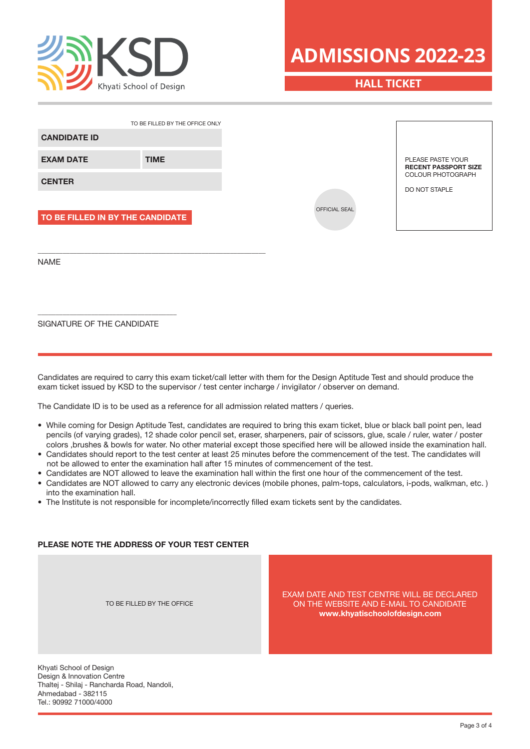

# **HALL TICKET**

|                                  | TO BE FILLED BY THE OFFICE ONLY |
|----------------------------------|---------------------------------|
| <b>CANDIDATE ID</b>              |                                 |
| <b>EXAM DATE</b>                 | <b>TIME</b>                     |
| <b>CENTER</b>                    |                                 |
|                                  |                                 |
| TO BE FILLED IN BY THE CANDIDATE |                                 |
|                                  |                                 |

SIGNATURE OF THE CANDIDATE

\_\_\_\_\_\_\_\_\_\_\_\_\_\_\_\_\_\_\_\_\_\_\_\_\_\_\_\_\_\_\_\_\_\_\_\_\_\_\_

NAME

Candidates are required to carry this exam ticket/call letter with them for the Design Aptitude Test and should produce the exam ticket issued by KSD to the supervisor / test center incharge / invigilator / observer on demand.

The Candidate ID is to be used as a reference for all admission related matters / queries.

- While coming for Design Aptitude Test, candidates are required to bring this exam ticket, blue or black ball point pen, lead pencils (of varying grades), 12 shade color pencil set, eraser, sharpeners, pair of scissors, glue, scale / ruler, water / poster colors ,brushes & bowls for water. No other material except those specified here will be allowed inside the examination hall.
- Candidates should report to the test center at least 25 minutes before the commencement of the test. The candidates will not be allowed to enter the examination hall after 15 minutes of commencement of the test.
- Candidates are NOT allowed to leave the examination hall within the first one hour of the commencement of the test.
- Candidates are NOT allowed to carry any electronic devices (mobile phones, palm-tops, calculators, i-pods, walkman, etc. ) into the examination hall.
- The Institute is not responsible for incomplete/incorrectly filled exam tickets sent by the candidates.

#### **PLEASE NOTE THE ADDRESS OF YOUR TEST CENTER**

TO BE FILLED BY THE OFFICE

EXAM DATE AND TEST CENTRE WILL BE DECLARED ON THE WEBSITE AND E-MAIL TO CANDIDATE **www.khyatischoolofdesign.com**

Khyati School of Design Design & Innovation Centre Thaltej - Shilaj - Rancharda Road, Nandoli, Ahmedabad - 382115 Tel.: 90992 71000/4000